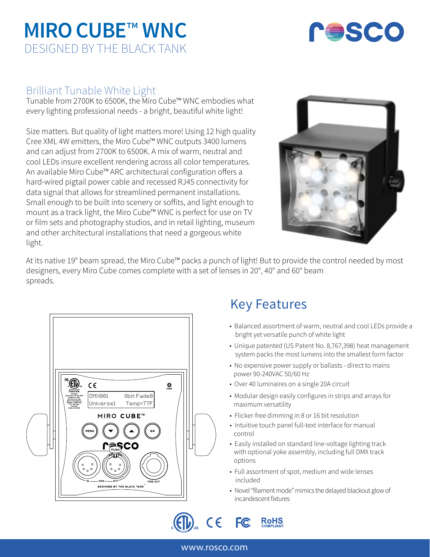# **MIRO CUBE**™ **WNC** DESIGNED BY THE BLACK TANK



## Brilliant Tunable White Light

Tunable from 2700K to 6500K, the Miro Cube™ WNC embodies what every lighting professional needs - a bright, beautiful white light!

Size matters. But quality of light matters more! Using 12 high quality Cree XML 4W emitters, the Miro Cube™ WNC outputs 3400 lumens and can adjust from 2700K to 6500K. A mix of warm, neutral and cool LEDs insure excellent rendering across all color temperatures. An available Miro Cube™ ARC architectural configuration offers a hard-wired pigtail power cable and recessed RJ45 connectivity for data signal that allows for streamlined permanent installations. Small enough to be built into scenery or soffits, and light enough to mount as a track light, the Miro Cube™ WNC is perfect for use on TV or film sets and photography studios, and in retail lighting, museum and other architectural installations that need a gorgeous white light.



At its native 19° beam spread, the Miro Cube™ packs a punch of light! But to provide the control needed by most designers, every Miro Cube comes complete with a set of lenses in 20°, 40° and 60° beam spreads.



## Key Features

- Balanced assortment of warm, neutral and cool LEDs provide a bright yet versatile punch of white light
- Unique patented (US Patent No. 8,767,398) heat management system packs the most lumens into the smallest form factor
- No expensive power supply or ballasts direct to mains power 90-240VAC 50/60 Hz
- Over 40 luminaires on a single 20A circuit
- Modular design easily configures in strips and arrays for maximum versatility
- Flicker-free dimming in 8 or 16 bit resolution
- Intuitive touch panel full-text interface for manual control
- Easily installed on standard line-voltage lighting track with optional yoke assembly, including full DMX track options
- Full assortment of spot, medium and wide lenses included
- Novel "filament mode" mimics the delayed blackout glow of incandescent fixtures

 $C\in$ F<sub>C</sub> **RoHS** 

## www.rosco.com